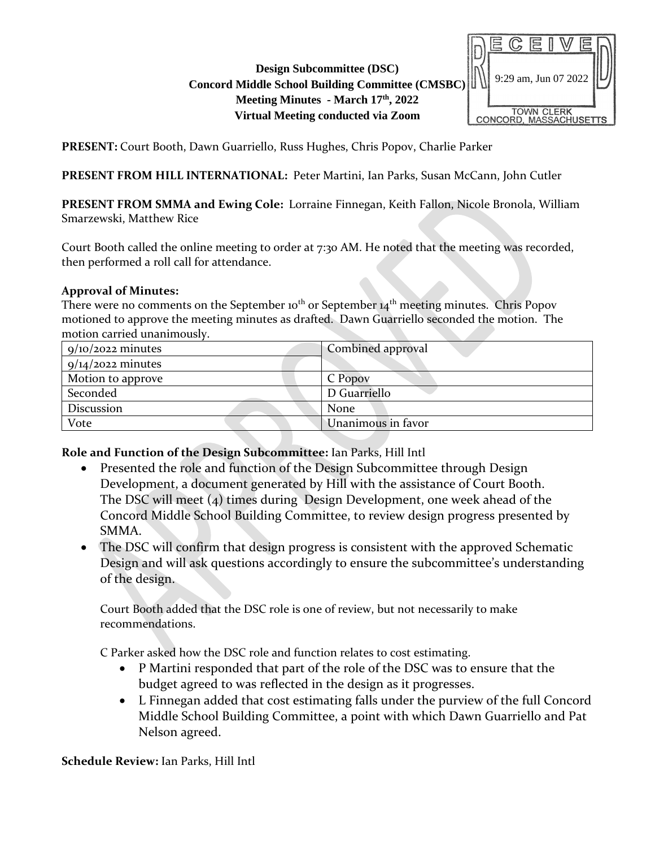### **Design Subcommittee (DSC) Concord Middle School Building Committee (CMSBC) Meeting Minutes - March 17th, 2022 Virtual Meeting conducted via Zoom**



**PRESENT:** Court Booth, Dawn Guarriello, Russ Hughes, Chris Popov, Charlie Parker

**PRESENT FROM HILL INTERNATIONAL:** Peter Martini, Ian Parks, Susan McCann, John Cutler

**PRESENT FROM SMMA and Ewing Cole:** Lorraine Finnegan, Keith Fallon, Nicole Bronola, William Smarzewski, Matthew Rice

Court Booth called the online meeting to order at 7:30 AM. He noted that the meeting was recorded, then performed a roll call for attendance.

#### **Approval of Minutes:**

There were no comments on the September 10<sup>th</sup> or September 14<sup>th</sup> meeting minutes. Chris Popov motioned to approve the meeting minutes as drafted. Dawn Guarriello seconded the motion. The motion carried unanimously.

| $9/10/2022$ minutes | Combined approval  |
|---------------------|--------------------|
| $9/14/2022$ minutes |                    |
| Motion to approve   | C Popov            |
| Seconded            | D Guarriello       |
| Discussion          | None               |
| Vote                | Unanimous in favor |

**Role and Function of the Design Subcommittee:** Ian Parks, Hill Intl

- Presented the role and function of the Design Subcommittee through Design Development, a document generated by Hill with the assistance of Court Booth. The DSC will meet (4) times during Design Development, one week ahead of the Concord Middle School Building Committee, to review design progress presented by SMMA.
- The DSC will confirm that design progress is consistent with the approved Schematic Design and will ask questions accordingly to ensure the subcommittee's understanding of the design.

Court Booth added that the DSC role is one of review, but not necessarily to make recommendations.

C Parker asked how the DSC role and function relates to cost estimating.

- P Martini responded that part of the role of the DSC was to ensure that the budget agreed to was reflected in the design as it progresses.
- L Finnegan added that cost estimating falls under the purview of the full Concord Middle School Building Committee, a point with which Dawn Guarriello and Pat Nelson agreed.

**Schedule Review:** Ian Parks, Hill Intl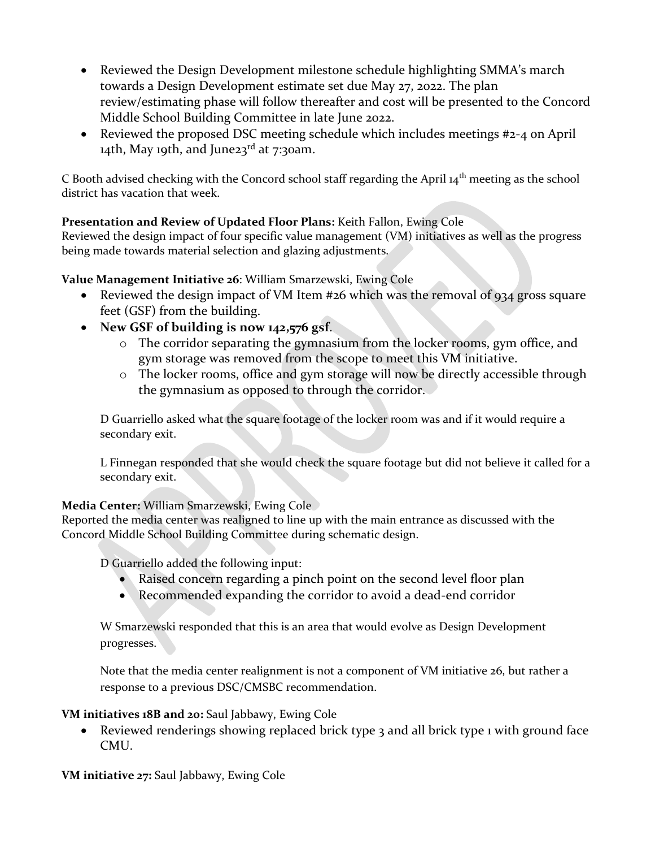- Reviewed the Design Development milestone schedule highlighting SMMA's march towards a Design Development estimate set due May 27, 2022. The plan review/estimating phase will follow thereafter and cost will be presented to the Concord Middle School Building Committee in late June 2022.
- Reviewed the proposed DSC meeting schedule which includes meetings #2-4 on April 14th, May 19th, and June23 $^{rd}$  at 7:30am.

C Booth advised checking with the Concord school staff regarding the April 14th meeting as the school district has vacation that week.

# **Presentation and Review of Updated Floor Plans:** Keith Fallon, Ewing Cole

Reviewed the design impact of four specific value management (VM) initiatives as well as the progress being made towards material selection and glazing adjustments.

#### **Value Management Initiative 26**: William Smarzewski, Ewing Cole

- Reviewed the design impact of VM Item #26 which was the removal of 934 gross square feet (GSF) from the building.
- **New GSF of building is now 142,576 gsf**.
	- o The corridor separating the gymnasium from the locker rooms, gym office, and gym storage was removed from the scope to meet this VM initiative.
	- o The locker rooms, office and gym storage will now be directly accessible through the gymnasium as opposed to through the corridor.

D Guarriello asked what the square footage of the locker room was and if it would require a secondary exit.

L Finnegan responded that she would check the square footage but did not believe it called for a secondary exit.

#### **Media Center:** William Smarzewski, Ewing Cole

Reported the media center was realigned to line up with the main entrance as discussed with the Concord Middle School Building Committee during schematic design.

D Guarriello added the following input:

- Raised concern regarding a pinch point on the second level floor plan
- Recommended expanding the corridor to avoid a dead-end corridor

W Smarzewski responded that this is an area that would evolve as Design Development progresses.

Note that the media center realignment is not a component of VM initiative 26, but rather a response to a previous DSC/CMSBC recommendation.

# **VM initiatives 18B and 20:** Saul Jabbawy, Ewing Cole

• Reviewed renderings showing replaced brick type 3 and all brick type 1 with ground face CMU.

**VM initiative 27:** Saul Jabbawy, Ewing Cole